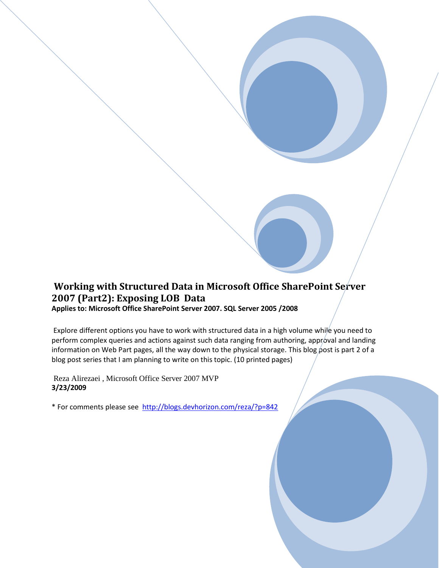## **Working with Structured Data in Microsoft Office SharePoint Server 2007 (Part2): Exposing LOB Data Applies to: Microsoft Office SharePoint Server 2007. SQL Server 2005 /2008**

Explore different options you have to work with structured data in a high volume while you need to perform complex queries and actions against such data ranging from authoring, approval and landing information on Web Part pages, all the way down to the physical storage. This blog post is part 2 of a blog post series that I am planning to write on this topic. (10 printed pages)

Reza Alirezaei , Microsoft Office Server 2007 MVP **3/23/2009**

\* For comments please see <http://blogs.devhorizon.com/reza/?p=842>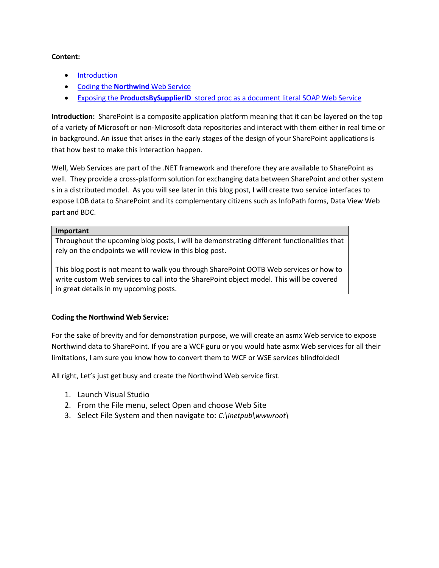#### **Content:**

- [Introduction](#page-1-0)
- Coding the **Northwind** [Web Service](#page-1-1)
- Exposing the **ProductsBySupplierID** [stored proc as a document literal SOAP Web Service](#page-6-0)

<span id="page-1-0"></span>**Introduction:** SharePoint is a composite application platform meaning that it can be layered on the top of a variety of Microsoft or non-Microsoft data repositories and interact with them either in real time or in background. An issue that arises in the early stages of the design of your SharePoint applications is that how best to make this interaction happen.

Well, Web Services are part of the .NET framework and therefore they are available to SharePoint as well. They provide a cross-platform solution for exchanging data between SharePoint and other system s in a distributed model. As you will see later in this blog post, I will create two service interfaces to expose LOB data to SharePoint and its complementary citizens such as InfoPath forms, Data View Web part and BDC.

#### **Important**

Throughout the upcoming blog posts, I will be demonstrating different functionalities that rely on the endpoints we will review in this blog post.

This blog post is not meant to walk you through SharePoint OOTB Web services or how to write custom Web services to call into the SharePoint object model. This will be covered in great details in my upcoming posts.

### <span id="page-1-1"></span>**Coding the Northwind Web Service:**

For the sake of brevity and for demonstration purpose, we will create an asmx Web service to expose Northwind data to SharePoint. If you are a WCF guru or you would hate asmx Web services for all their limitations, I am sure you know how to convert them to WCF or WSE services blindfolded!

All right, Let's just get busy and create the Northwind Web service first.

- 1. Launch Visual Studio
- 2. From the File menu, select Open and choose Web Site
- 3. Select File System and then navigate to: *C:\Inetpub\wwwroot\*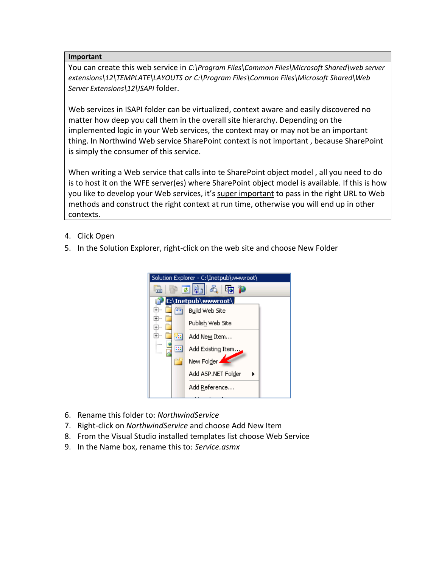#### **Important**

You can create this web service in *C:\Program Files\Common Files\Microsoft Shared\web server extensions\12\TEMPLATE\LAYOUTS or C:\Program Files\Common Files\Microsoft Shared\Web Server Extensions\12\ISAPI* folder.

Web services in ISAPI folder can be virtualized, context aware and easily discovered no matter how deep you call them in the overall site hierarchy. Depending on the implemented logic in your Web services, the context may or may not be an important thing. In Northwind Web service SharePoint context is not important , because SharePoint is simply the consumer of this service.

When writing a Web service that calls into te SharePoint object model , all you need to do is to host it on the WFE server(es) where SharePoint object model is available. If this is how you like to develop your Web services, it's super important to pass in the right URL to Web methods and construct the right context at run time, otherwise you will end up in other contexts.

- 4. Click Open
- 5. In the Solution Explorer, right-click on the web site and choose New Folder



- 6. Rename this folder to: *NorthwindService*
- 7. Right-click on *NorthwindService* and choose Add New Item
- 8. From the Visual Studio installed templates list choose Web Service
- 9. In the Name box, rename this to: *Service.asmx*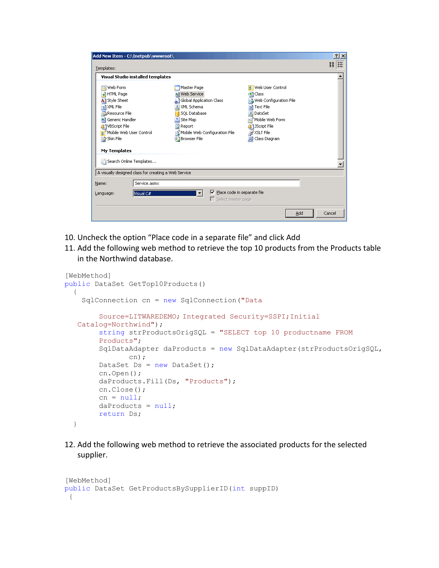| Add New Item - C:\Inetpub\wwwroot\                                                                                                                                                           |                                                                                                                                                                                          |                                                                                                                                                                       | $?$ $\times$              |
|----------------------------------------------------------------------------------------------------------------------------------------------------------------------------------------------|------------------------------------------------------------------------------------------------------------------------------------------------------------------------------------------|-----------------------------------------------------------------------------------------------------------------------------------------------------------------------|---------------------------|
| Templates:                                                                                                                                                                                   |                                                                                                                                                                                          |                                                                                                                                                                       | $rac{8}{5}$ $\frac{8}{5}$ |
| Visual Studio installed templates                                                                                                                                                            |                                                                                                                                                                                          |                                                                                                                                                                       |                           |
| Web Form<br><b>HTML Page</b><br>All Style Sheet<br>XML File<br><u>cai</u><br>Resource File<br>Generic Handler<br>VBScript File<br>Mobile Web User Control<br>A:<br>Skin File<br>My Templates | Master Page<br>a) Web Service<br>Global Application Class<br><mark>别</mark> XML Schema<br>SOL Database<br>為 Site Map<br>Report<br>Mobile Web Configuration File<br><b>D</b> Browser File | <b>R:</b> Web User Control<br>c#l Class<br>Web Configuration File<br>Text File<br>DataSet<br>Mobile Web Form<br>313Script File<br><b>E</b> XSLT File<br>Class Diagram |                           |
| Search Online Templates                                                                                                                                                                      |                                                                                                                                                                                          |                                                                                                                                                                       |                           |
| A visually designed class for creating a Web Service                                                                                                                                         |                                                                                                                                                                                          |                                                                                                                                                                       |                           |
| Service.asmx<br>Name:                                                                                                                                                                        |                                                                                                                                                                                          |                                                                                                                                                                       |                           |
| Visual C#<br>Language:                                                                                                                                                                       |                                                                                                                                                                                          | $\triangledown$ Place code in separate file<br>$\Box$ Select master page                                                                                              |                           |
|                                                                                                                                                                                              |                                                                                                                                                                                          | Add                                                                                                                                                                   | Cancel                    |

- 10. Uncheck the option "Place code in a separate file" and click Add
- 11. Add the following web method to retrieve the top 10 products from the Products table in the Northwind database.

```
[WebMethod]
public DataSet GetTop10Products()
  {
     SqlConnection cn = new SqlConnection("Data 
         Source=LITWAREDEMO; Integrated Security=SSPI;Initial 
   Catalog=Northwind"); 
         string strProductsOrigSQL = "SELECT top 10 productname FROM 
         Products";
         SqlDataAdapter daProducts = new SqlDataAdapter(strProductsOrigSQL, 
                cn);
        DataSet Ds = new DataSet();
         cn.Open();
         daProducts.Fill(Ds, "Products");
         cn.Close();
        cn = null;daProducts = null; return Ds;
   }
```
12. Add the following web method to retrieve the associated products for the selected supplier.

```
[WebMethod]
public DataSet GetProductsBySupplierID(int suppID)
 {
```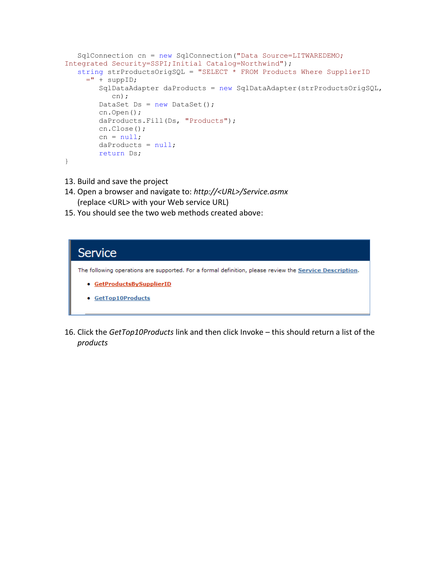```
SqlConnection cn = new SqlConnection("Data Source=LITWAREDEMO;
Integrated Security=SSPI;Initial Catalog=Northwind");
   string strProductsOrigSQL = "SELECT * FROM Products Where SupplierID 
     =" + suppID;
         SqlDataAdapter daProducts = new SqlDataAdapter(strProductsOrigSQL, 
            cn);
       DataSet Ds = new DataSet();
         cn.Open();
         daProducts.Fill(Ds, "Products");
         cn.Close();
        cn = null;daProducts = null; return Ds; 
}
```
- 13. Build and save the project
- 14. Open a browser and navigate to: *http://<URL>/Service.asmx* (replace <URL> with your Web service URL)
- 15. You should see the two web methods created above:

# Service

The following operations are supported. For a formal definition, please review the Service Description.

- · GetProductsBySupplierID
- · GetTop10Products
- 16. Click the *GetTop10Products* link and then click Invoke this should return a list of the *products*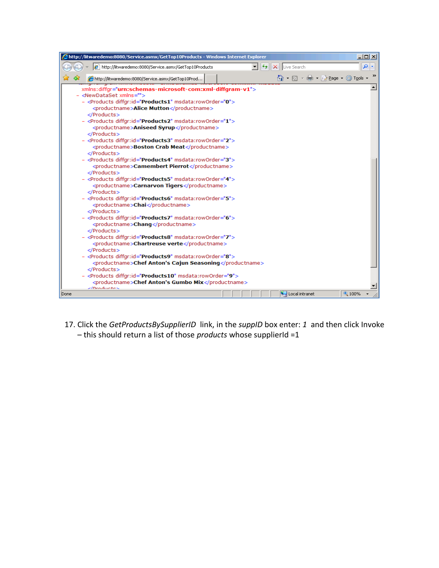| Chttp://litwaredemo:8080/Service.asmx/GetTop10Products - Windows Internet Explorer                                            | $\Box$ o $\times$ |
|-------------------------------------------------------------------------------------------------------------------------------|-------------------|
| $\mathbf{r}$<br>$+$<br>e http://litwaredemo:8080/Service.asmx/GetTop10Products<br>Live Search<br>×                            | م                 |
| 个 同 - 鼎 - A Bage - ⊙ Tools -<br>47<br>http://litwaredemo:8080/Service.asmx/GetTop10Prod                                       |                   |
| xmlns:diffgr="urn:schemas-microsoft-com:xml-diffgram-v1">                                                                     |                   |
| - <newdataset xmlns=""><br/>- <products diffgr:id="Products1" msdata:roworder="0"></products></newdataset>                    |                   |
| <productname>Alice Mutton</productname>                                                                                       |                   |
|                                                                                                                               |                   |
| - <products diffgr:id="Products2" msdata:roworder="1"></products>                                                             |                   |
| <productname>Aniseed Syrup</productname><br>                                                                                  |                   |
| - <products diffgr:id="Products3" msdata:roworder="2"></products>                                                             |                   |
| <productname>Boston Crab Meat</productname>                                                                                   |                   |
|                                                                                                                               |                   |
| - <products diffgr:id="Products4" msdata:roworder="3"><br/><productname>Camembert Pierrot</productname></products>            |                   |
| $<$ /Products $>$                                                                                                             |                   |
| - <products diffgr:id="Products5" msdata:roworder="4"></products>                                                             |                   |
| <productname>Carnarvon Tigers</productname>                                                                                   |                   |
| <br>- <products diffgr:id="Products6" msdata:roworder="5"></products>                                                         |                   |
| <productname>Chai</productname>                                                                                               |                   |
|                                                                                                                               |                   |
| - <products diffgr:id="Products7" msdata:roworder="6"></products>                                                             |                   |
| <productname>Chang</productname><br>                                                                                          |                   |
| - <products diffgr:id="Products8" msdata:roworder="7"></products>                                                             |                   |
| <productname>Chartreuse verte</productname>                                                                                   |                   |
|                                                                                                                               |                   |
| - <products diffgr:id="Products9" msdata:roworder="8"><br/><productname>Chef Anton's Cajun Seasoning</productname></products> |                   |
|                                                                                                                               |                   |
| - <products diffgr:id="Products10" msdata:roworder="9"></products>                                                            |                   |
| <productname>Chef Anton's Gumbo Mix</productname><br>$2/D$ roductes                                                           |                   |
| Local intranet<br>Done                                                                                                        | 4100%             |

17. Click the *GetProductsBySupplierID* link, in the *suppID* box enter: *1* and then click Invoke – this should return a list of those *products* whose supplierId =1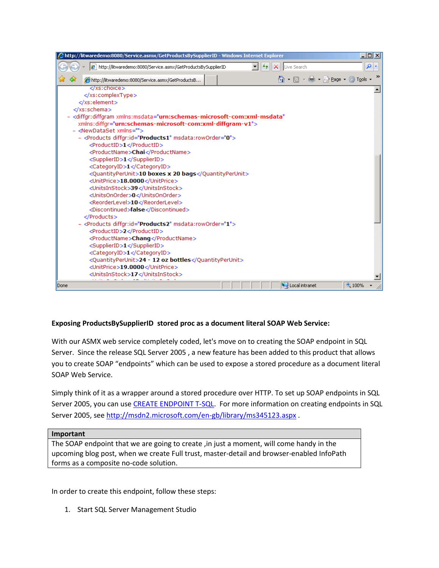| http://litwaredemo:8080/Service.asmx/GetProductsBySupplierID - Windows Internet Explorer &             | $\Box$ o $\Box$ |
|--------------------------------------------------------------------------------------------------------|-----------------|
| e http://litwaredemo:8080/Service.asmx/GetProductsBySupplierID<br>▼<br>$\ddotmark$<br>Live Search<br>× | م<br>×          |
| 企 回 · 中 · Ey Bage · ⊙ Tools ·<br>42<br>http://litwaredemo:8080/Service.asmx/GetProductsB               |                 |
| $\langle xs:choice\rangle$                                                                             |                 |
|                                                                                                        |                 |
|                                                                                                        |                 |
|                                                                                                        |                 |
| - < diffgr: diffgram xmlns: msdata="urn: schemas-microsoft-com: xml-msdata"                            |                 |
| xmlns:diffgr="urn:schemas-microsoft-com:xml-diffgram-v1">                                              |                 |
| - <newdataset xmlns=""></newdataset>                                                                   |                 |
| - <products diffgr:id="Products1" msdata:roworder="0"></products>                                      |                 |
| <productid>1</productid>                                                                               |                 |
| <productname>Chai</productname>                                                                        |                 |
| <supplierid>1</supplierid>                                                                             |                 |
| <categoryid>1</categoryid><br><quantityperunit>10 boxes x 20 bags</quantityperunit>                    |                 |
| <unitprice>18.0000</unitprice>                                                                         |                 |
| <unitsinstock>39</unitsinstock>                                                                        |                 |
| <unitsonorder>0</unitsonorder>                                                                         |                 |
| <reorderlevel>10</reorderlevel>                                                                        |                 |
| <discontinued>false</discontinued>                                                                     |                 |
|                                                                                                        |                 |
| - <products diffgr:id="Products2" msdata:roworder="1"></products>                                      |                 |
| <productid>2</productid>                                                                               |                 |
| <productname>Chang</productname>                                                                       |                 |
| <supplierid>1</supplierid>                                                                             |                 |
| <categoryid>1</categoryid>                                                                             |                 |
| <quantityperunit>24 - 12 oz bottles</quantityperunit>                                                  |                 |
| <unitprice>19.0000</unitprice>                                                                         |                 |
| <unitsinstock>17</unitsinstock>                                                                        |                 |
| Local intranet<br>Done                                                                                 | 4100%           |

### <span id="page-6-0"></span>**Exposing ProductsBySupplierID stored proc as a document literal SOAP Web Service:**

With our ASMX web service completely coded, let's move on to creating the SOAP endpoint in SQL Server. Since the release SQL Server 2005 , a new feature has been added to this product that allows you to create SOAP "endpoints" which can be used to expose a stored procedure as a document literal SOAP Web Service.

Simply think of it as a wrapper around a stored procedure over HTTP. To set up SOAP endpoints in SQL Server 2005, you can use [CREATE ENDPOINT T-SQL.](http://msdn2.microsoft.com/en-us/library/ms181591.aspx) For more information on creating endpoints in SQL Server 2005, see<http://msdn2.microsoft.com/en-gb/library/ms345123.aspx> .

#### **Important**

The SOAP endpoint that we are going to create ,in just a moment, will come handy in the upcoming blog post, when we create Full trust, master-detail and browser-enabled InfoPath forms as a composite no-code solution.

In order to create this endpoint, follow these steps:

1. Start SQL Server Management Studio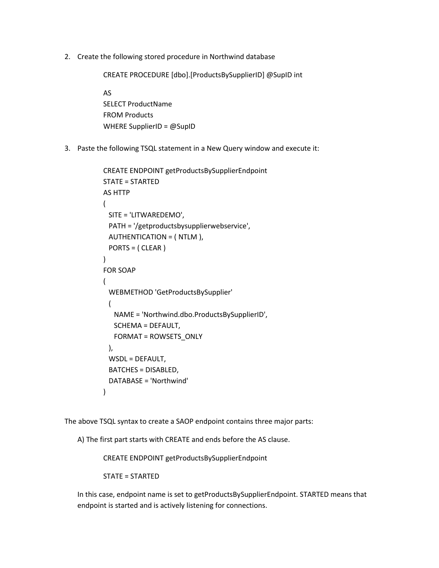2. Create the following stored procedure in Northwind database

CREATE PROCEDURE [dbo].[ProductsBySupplierID] @SupID int

AS SELECT ProductName FROM Products WHERE SupplierID = @SupID

3. Paste the following TSQL statement in a New Query window and execute it:

```
CREATE ENDPOINT getProductsBySupplierEndpoint
STATE = STARTED
AS HTTP
(
  SITE = 'LITWAREDEMO',
  PATH = '/getproductsbysupplierwebservice',
  AUTHENTICATION = ( NTLM ),
  PORTS = ( CLEAR )
\lambdaFOR SOAP
(
  WEBMETHOD 'GetProductsBySupplier'
  (
    NAME = 'Northwind.dbo.ProductsBySupplierID',
    SCHEMA = DEFAULT,
    FORMAT = ROWSETS_ONLY
  ),
  WSDL = DEFAULT,
  BATCHES = DISABLED,
  DATABASE = 'Northwind'
)
```
The above TSQL syntax to create a SAOP endpoint contains three major parts:

A) The first part starts with CREATE and ends before the AS clause.

CREATE ENDPOINT getProductsBySupplierEndpoint

STATE = STARTED

In this case, endpoint name is set to getProductsBySupplierEndpoint. STARTED means that endpoint is started and is actively listening for connections.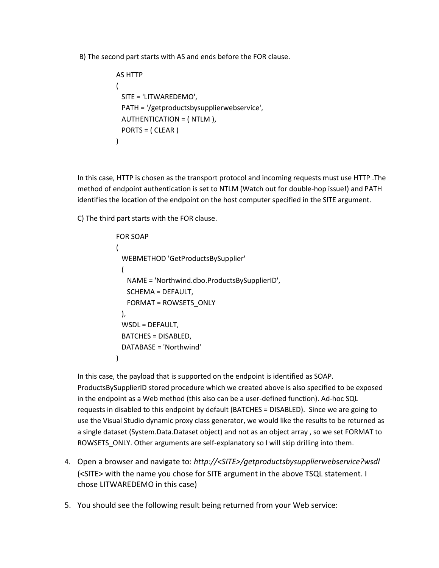B) The second part starts with AS and ends before the FOR clause.

```
AS HTTP
(
  SITE = 'LITWAREDEMO',
  PATH = '/getproductsbysupplierwebservice',
  AUTHENTICATION = ( NTLM ),
  PORTS = ( CLEAR )
)
```
In this case, HTTP is chosen as the transport protocol and incoming requests must use HTTP .The method of endpoint authentication is set to NTLM (Watch out for double-hop issue!) and PATH identifies the location of the endpoint on the host computer specified in the SITE argument.

C) The third part starts with the FOR clause.

```
FOR SOAP
(
  WEBMETHOD 'GetProductsBySupplier'
 (
    NAME = 'Northwind.dbo.ProductsBySupplierID',
   SCHEMA = DEFAULT,
   FORMAT = ROWSETS_ONLY
  ),
  WSDL = DEFAULT,
  BATCHES = DISABLED,
  DATABASE = 'Northwind'
)
```
In this case, the payload that is supported on the endpoint is identified as SOAP. ProductsBySupplierID stored procedure which we created above is also specified to be exposed in the endpoint as a Web method (this also can be a user-defined function). Ad-hoc SQL requests in disabled to this endpoint by default (BATCHES = DISABLED). Since we are going to use the Visual Studio dynamic proxy class generator, we would like the results to be returned as a single dataset (System.Data.Dataset object) and not as an object array , so we set FORMAT to ROWSETS ONLY. Other arguments are self-explanatory so I will skip drilling into them.

- 4. Open a browser and navigate to: *http://<SITE>/getproductsbysupplierwebservice?wsdl* (<SITE> with the name you chose for SITE argument in the above TSQL statement. I chose LITWAREDEMO in this case)
- 5. You should see the following result being returned from your Web service: